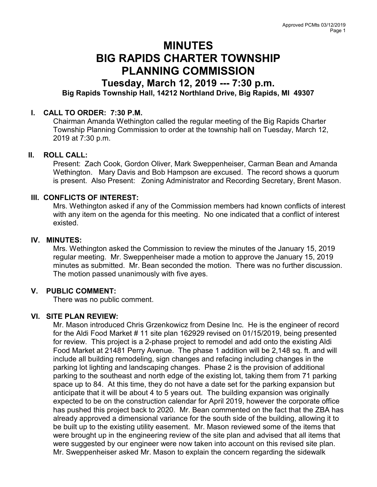# MINUTES BIG RAPIDS CHARTER TOWNSHIP PLANNING COMMISSION

## Tuesday, March 12, 2019 --- 7:30 p.m. Big Rapids Township Hall, 14212 Northland Drive, Big Rapids, MI 49307

### I. CALL TO ORDER: 7:30 P.M.

Chairman Amanda Wethington called the regular meeting of the Big Rapids Charter Township Planning Commission to order at the township hall on Tuesday, March 12, 2019 at 7:30 p.m.

#### II. ROLL CALL:

Present: Zach Cook, Gordon Oliver, Mark Sweppenheiser, Carman Bean and Amanda Wethington. Mary Davis and Bob Hampson are excused. The record shows a quorum is present. Also Present: Zoning Administrator and Recording Secretary, Brent Mason.

#### III. CONFLICTS OF INTEREST:

Mrs. Wethington asked if any of the Commission members had known conflicts of interest with any item on the agenda for this meeting. No one indicated that a conflict of interest existed.

#### IV. MINUTES:

Mrs. Wethington asked the Commission to review the minutes of the January 15, 2019 regular meeting. Mr. Sweppenheiser made a motion to approve the January 15, 2019 minutes as submitted. Mr. Bean seconded the motion. There was no further discussion. The motion passed unanimously with five ayes.

#### V. PUBLIC COMMENT:

There was no public comment.

#### VI. SITE PLAN REVIEW:

Mr. Mason introduced Chris Grzenkowicz from Desine Inc. He is the engineer of record for the Aldi Food Market # 11 site plan 162929 revised on 01/15/2019, being presented for review. This project is a 2-phase project to remodel and add onto the existing Aldi Food Market at 21481 Perry Avenue. The phase 1 addition will be 2,148 sq. ft. and will include all building remodeling, sign changes and refacing including changes in the parking lot lighting and landscaping changes. Phase 2 is the provision of additional parking to the southeast and north edge of the existing lot, taking them from 71 parking space up to 84. At this time, they do not have a date set for the parking expansion but anticipate that it will be about 4 to 5 years out. The building expansion was originally expected to be on the construction calendar for April 2019, however the corporate office has pushed this project back to 2020. Mr. Bean commented on the fact that the ZBA has already approved a dimensional variance for the south side of the building, allowing it to be built up to the existing utility easement. Mr. Mason reviewed some of the items that were brought up in the engineering review of the site plan and advised that all items that were suggested by our engineer were now taken into account on this revised site plan. Mr. Sweppenheiser asked Mr. Mason to explain the concern regarding the sidewalk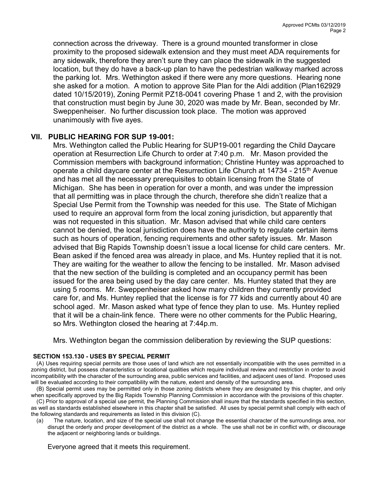connection across the driveway. There is a ground mounted transformer in close proximity to the proposed sidewalk extension and they must meet ADA requirements for any sidewalk, therefore they aren't sure they can place the sidewalk in the suggested location, but they do have a back-up plan to have the pedestrian walkway marked across the parking lot. Mrs. Wethington asked if there were any more questions. Hearing none she asked for a motion. A motion to approve Site Plan for the Aldi addition (Plan162929 dated 10/15/2019), Zoning Permit PZ18-0041 covering Phase 1 and 2, with the provision that construction must begin by June 30, 2020 was made by Mr. Bean, seconded by Mr. Sweppenheiser. No further discussion took place. The motion was approved unanimously with five ayes.

#### VII. PUBLIC HEARING FOR SUP 19-001:

Mrs. Wethington called the Public Hearing for SUP19-001 regarding the Child Daycare operation at Resurrection Life Church to order at 7:40 p.m. Mr. Mason provided the Commission members with background information; Christine Huntey was approached to operate a child daycare center at the Resurrection Life Church at 14734 - 215<sup>th</sup> Avenue and has met all the necessary prerequisites to obtain licensing from the State of Michigan. She has been in operation for over a month, and was under the impression that all permitting was in place through the church, therefore she didn't realize that a Special Use Permit from the Township was needed for this use. The State of Michigan used to require an approval form from the local zoning jurisdiction, but apparently that was not requested in this situation. Mr. Mason advised that while child care centers cannot be denied, the local jurisdiction does have the authority to regulate certain items such as hours of operation, fencing requirements and other safety issues. Mr. Mason advised that Big Rapids Township doesn't issue a local license for child care centers. Mr. Bean asked if the fenced area was already in place, and Ms. Huntey replied that it is not. They are waiting for the weather to allow the fencing to be installed. Mr. Mason advised that the new section of the building is completed and an occupancy permit has been issued for the area being used by the day care center. Ms. Huntey stated that they are using 5 rooms. Mr. Sweppenheiser asked how many children they currently provided care for, and Ms. Huntey replied that the license is for 77 kids and currently about 40 are school aged. Mr. Mason asked what type of fence they plan to use. Ms. Huntey replied that it will be a chain-link fence. There were no other comments for the Public Hearing, so Mrs. Wethington closed the hearing at 7:44p.m.

Mrs. Wethington began the commission deliberation by reviewing the SUP questions:

#### SECTION 153.130 - USES BY SPECIAL PERMIT

(A) Uses requiring special permits are those uses of land which are not essentially incompatible with the uses permitted in a zoning district, but possess characteristics or locational qualities which require individual review and restriction in order to avoid incompatibility with the character of the surrounding area, public services and facilities, and adjacent uses of land. Proposed uses will be evaluated according to their compatibility with the nature, extent and density of the surrounding area.

 (B) Special permit uses may be permitted only in those zoning districts where they are designated by this chapter, and only when specifically approved by the Big Rapids Township Planning Commission in accordance with the provisions of this chapter.

 (C) Prior to approval of a special use permit, the Planning Commission shall insure that the standards specified in this section, as well as standards established elsewhere in this chapter shall be satisfied. All uses by special permit shall comply with each of the following standards and requirements as listed in this division (C).

(a) The nature, location, and size of the special use shall not change the essential character of the surroundings area, nor disrupt the orderly and proper development of the district as a whole. The use shall not be in conflict with, or discourage the adjacent or neighboring lands or buildings.

Everyone agreed that it meets this requirement.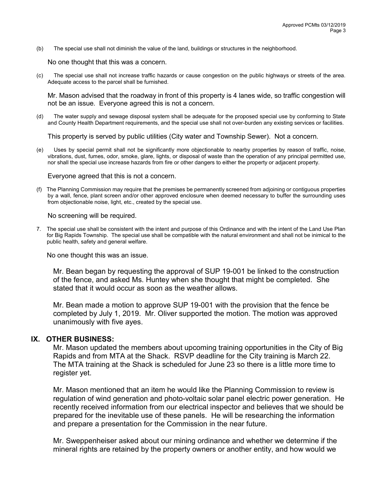(b) The special use shall not diminish the value of the land, buildings or structures in the neighborhood.

No one thought that this was a concern.

(c) The special use shall not increase traffic hazards or cause congestion on the public highways or streets of the area. Adequate access to the parcel shall be furnished.

Mr. Mason advised that the roadway in front of this property is 4 lanes wide, so traffic congestion will not be an issue. Everyone agreed this is not a concern.

(d) The water supply and sewage disposal system shall be adequate for the proposed special use by conforming to State and County Health Department requirements, and the special use shall not over-burden any existing services or facilities.

This property is served by public utilities (City water and Township Sewer). Not a concern.

(e) Uses by special permit shall not be significantly more objectionable to nearby properties by reason of traffic, noise, vibrations, dust, fumes, odor, smoke, glare, lights, or disposal of waste than the operation of any principal permitted use, nor shall the special use increase hazards from fire or other dangers to either the property or adjacent property.

Everyone agreed that this is not a concern.

(f) The Planning Commission may require that the premises be permanently screened from adjoining or contiguous properties by a wall, fence, plant screen and/or other approved enclosure when deemed necessary to buffer the surrounding uses from objectionable noise, light, etc., created by the special use.

No screening will be required.

 7. The special use shall be consistent with the intent and purpose of this Ordinance and with the intent of the Land Use Plan for Big Rapids Township. The special use shall be compatible with the natural environment and shall not be inimical to the public health, safety and general welfare.

No one thought this was an issue.

Mr. Bean began by requesting the approval of SUP 19-001 be linked to the construction of the fence, and asked Ms. Huntey when she thought that might be completed. She stated that it would occur as soon as the weather allows.

Mr. Bean made a motion to approve SUP 19-001 with the provision that the fence be completed by July 1, 2019. Mr. Oliver supported the motion. The motion was approved unanimously with five ayes.

#### IX. OTHER BUSINESS:

Mr. Mason updated the members about upcoming training opportunities in the City of Big Rapids and from MTA at the Shack. RSVP deadline for the City training is March 22. The MTA training at the Shack is scheduled for June 23 so there is a little more time to register yet.

Mr. Mason mentioned that an item he would like the Planning Commission to review is regulation of wind generation and photo-voltaic solar panel electric power generation. He recently received information from our electrical inspector and believes that we should be prepared for the inevitable use of these panels. He will be researching the information and prepare a presentation for the Commission in the near future.

Mr. Sweppenheiser asked about our mining ordinance and whether we determine if the mineral rights are retained by the property owners or another entity, and how would we